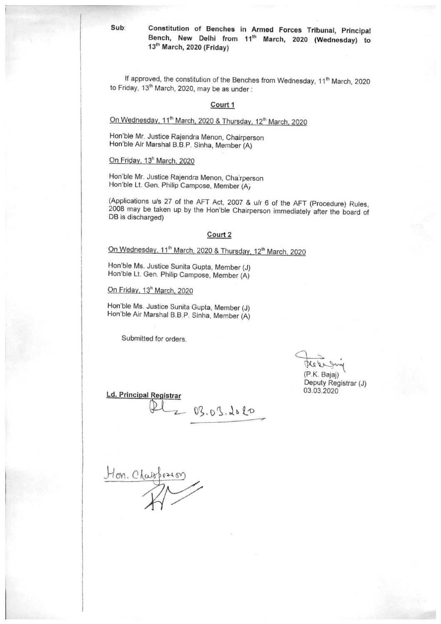#### Constitution of Benches in Armed Forces Tribunal, Principal Bench, New Delhi from 11th March, 2020 (Wednesday) to 13<sup>th</sup> March, 2020 (Friday)

If approved, the constitution of the Benches from Wednesday, 11<sup>th</sup> March, 2020 to Friday, 13<sup>th</sup> March, 2020, may be as under :

#### Court 1

On Wednesday, 11<sup>th</sup> March, 2020 & Thursday, 12<sup>th</sup> March, 2020

Hon'ble Mr. Justice Rajendra Menon, Chairperson Hon'ble Air Marshal B.B.P. Sinha, Member (A)

On Friday, 13<sup>h</sup> March, 2020

Hon'ble Mr. Justice Rajendra Menon, Chairperson Hon'ble Lt. Gen. Philip Campose, Member (A)

(Applications u/s 27 of the AFT Act, 2007 & u/r 6 of the AFT (Procedure) Rules, 2008 may be taken up by the Hon'ble Chairperson immediately after the board of DB is discharged)

#### Court 2

## On Wednesday, 11<sup>th</sup> March, 2020 & Thursday, 12<sup>th</sup> March, 2020

Hon'ble Ms. Justice Sunita Gupta, Member (J) Hon'ble Lt. Gen. Philip Campose, Member (A)

On Friday, 13<sup>h</sup> March, 2020

Hon'ble Ms. Justice Sunita Gupta, Member (J) Hon'ble Air Marshal B.B.P. Sinha, Member (A)

Submitted for orders.

(P.K. Bajaj) Deputy Registrar (J) 03.03.2020

**Ld. Principal Registrar** 

 $PL_{203.03.2020}$ 

Hon. Chaispeason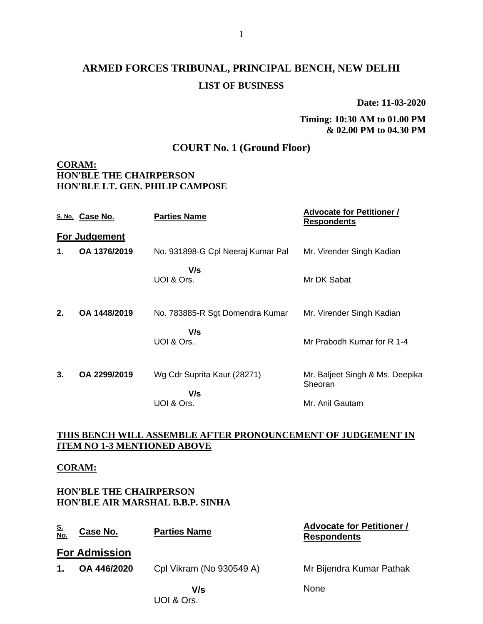## **ARMED FORCES TRIBUNAL, PRINCIPAL BENCH, NEW DELHI LIST OF BUSINESS**

**Date: 11-03-2020**

#### **Timing: 10:30 AM to 01.00 PM & 02.00 PM to 04.30 PM**

#### **COURT No. 1 (Ground Floor)**

#### **CORAM: HON'BLE THE CHAIRPERSON HON'BLE LT. GEN. PHILIP CAMPOSE**

|    | S. No. Case No. | <b>Parties Name</b>                    | <b>Advocate for Petitioner /</b><br><b>Respondents</b> |
|----|-----------------|----------------------------------------|--------------------------------------------------------|
|    | For Judgement   |                                        |                                                        |
| 1. | OA 1376/2019    | No. 931898-G Cpl Neeraj Kumar Pal      | Mr. Virender Singh Kadian                              |
|    |                 | V/s<br>UOI & Ors.                      | Mr DK Sabat                                            |
| 2. | OA 1448/2019    | No. 783885-R Sgt Domendra Kumar<br>V/s | Mr. Virender Singh Kadian                              |
|    |                 | UOI & Ors.                             | Mr Prabodh Kumar for R 1-4                             |
| 3. | OA 2299/2019    | Wg Cdr Suprita Kaur (28271)<br>V/s     | Mr. Baljeet Singh & Ms. Deepika<br>Sheoran             |
|    |                 | UOI & Ors.                             | Mr. Anil Gautam                                        |

#### **THIS BENCH WILL ASSEMBLE AFTER PRONOUNCEMENT OF JUDGEMENT IN ITEM NO 1-3 MENTIONED ABOVE**

#### **CORAM:**

#### **HON'BLE THE CHAIRPERSON HON'BLE AIR MARSHAL B.B.P. SINHA**

| <u>S.</u><br>No. | Case No.             | <b>Parties Name</b>      | <b>Advocate for Petitioner /</b><br><b>Respondents</b> |
|------------------|----------------------|--------------------------|--------------------------------------------------------|
|                  | <b>For Admission</b> |                          |                                                        |
| 1.               | OA 446/2020          | Cpl Vikram (No 930549 A) | Mr Bijendra Kumar Pathak                               |
|                  |                      | V/s<br>UOI & Ors.        | <b>None</b>                                            |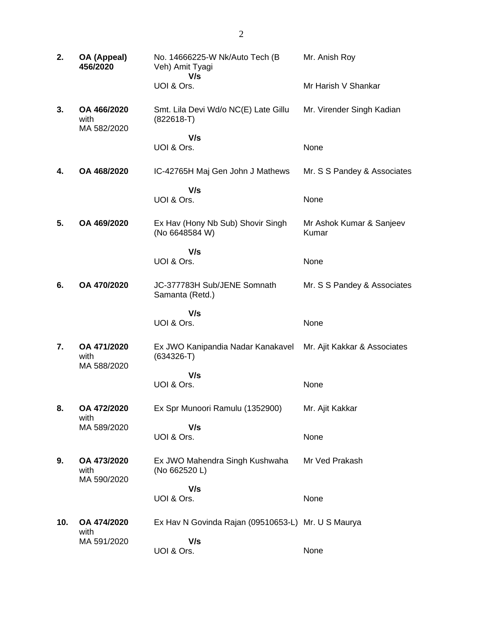| 2.  | OA (Appeal)<br>456/2020            | No. 14666225-W Nk/Auto Tech (B)<br>Veh) Amit Tyagi<br>V/s | Mr. Anish Roy                     |
|-----|------------------------------------|-----------------------------------------------------------|-----------------------------------|
|     |                                    | UOI & Ors.                                                | Mr Harish V Shankar               |
| 3.  | OA 466/2020<br>with<br>MA 582/2020 | Smt. Lila Devi Wd/o NC(E) Late Gillu<br>$(822618-T)$      | Mr. Virender Singh Kadian         |
|     |                                    | V/s<br>UOI & Ors.                                         | None                              |
| 4.  | OA 468/2020                        | IC-42765H Maj Gen John J Mathews                          | Mr. S S Pandey & Associates       |
|     |                                    | V/s<br>UOI & Ors.                                         | None                              |
| 5.  | OA 469/2020                        | Ex Hav (Hony Nb Sub) Shovir Singh<br>(No 6648584 W)       | Mr Ashok Kumar & Sanjeev<br>Kumar |
|     |                                    | V/s<br>UOI & Ors.                                         | None                              |
| 6.  | OA 470/2020                        | JC-377783H Sub/JENE Somnath<br>Samanta (Retd.)            | Mr. S S Pandey & Associates       |
|     |                                    | V/s<br>UOI & Ors.                                         | None                              |
| 7.  | OA 471/2020<br>with<br>MA 588/2020 | Ex JWO Kanipandia Nadar Kanakavel<br>$(634326 - T)$       | Mr. Ajit Kakkar & Associates      |
|     |                                    | V/s<br>UOI & Ors.                                         | None                              |
| 8.  | OA 472/2020<br>with                | Ex Spr Munoori Ramulu (1352900)                           | Mr. Ajit Kakkar                   |
|     | MA 589/2020                        | V/s<br>UOI & Ors.                                         | None                              |
| 9.  | OA 473/2020<br>with<br>MA 590/2020 | Ex JWO Mahendra Singh Kushwaha<br>(No 662520 L)           | Mr Ved Prakash                    |
|     |                                    | V/s                                                       |                                   |
|     |                                    | UOI & Ors.                                                | None                              |
| 10. | OA 474/2020<br>with                | Ex Hav N Govinda Rajan (09510653-L) Mr. U S Maurya        |                                   |
|     | MA 591/2020                        | V/s<br>UOI & Ors.                                         | None                              |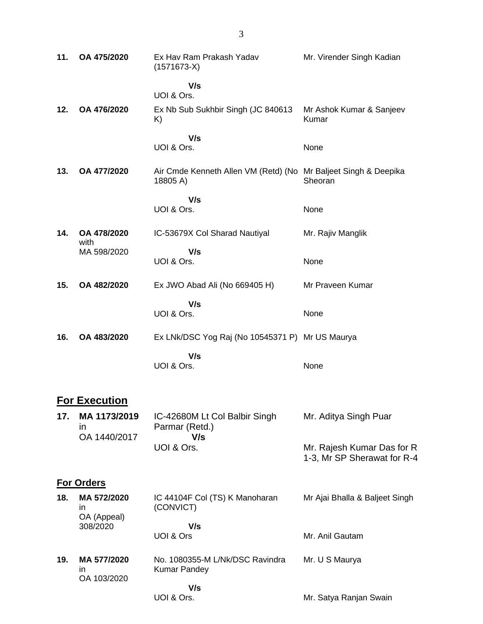| 11. | OA 475/2020             | Ex Hav Ram Prakash Yadav<br>$(1571673-X)$                                   | Mr. Virender Singh Kadian                                 |
|-----|-------------------------|-----------------------------------------------------------------------------|-----------------------------------------------------------|
|     |                         | V/s<br>UOI & Ors.                                                           |                                                           |
| 12. | OA 476/2020             | Ex Nb Sub Sukhbir Singh (JC 840613<br>K)                                    | Mr Ashok Kumar & Sanjeev<br>Kumar                         |
|     |                         | V/s<br>UOI & Ors.                                                           | None                                                      |
| 13. | OA 477/2020             | Air Cmde Kenneth Allen VM (Retd) (No Mr Baljeet Singh & Deepika<br>18805 A) | Sheoran                                                   |
|     |                         | V/s                                                                         |                                                           |
|     |                         | UOI & Ors.                                                                  | None                                                      |
| 14. | OA 478/2020<br>with     | IC-53679X Col Sharad Nautiyal                                               | Mr. Rajiv Manglik                                         |
|     | MA 598/2020             | V/s<br>UOI & Ors.                                                           | None                                                      |
| 15. | OA 482/2020             | Ex JWO Abad Ali (No 669405 H)                                               | Mr Praveen Kumar                                          |
|     |                         | V/s<br>UOI & Ors.                                                           | None                                                      |
| 16. | OA 483/2020             | Ex LNk/DSC Yog Raj (No 10545371 P) Mr US Maurya                             |                                                           |
|     |                         | V/s<br>UOI & Ors.                                                           | None                                                      |
|     | <b>For Execution</b>    |                                                                             |                                                           |
| 17. | MA 1173/2019<br>in      | IC-42680M Lt Col Balbir Singh<br>Parmar (Retd.)                             | Mr. Aditya Singh Puar                                     |
|     | OA 1440/2017            | V/s<br>UOI & Ors.                                                           | Mr. Rajesh Kumar Das for R<br>1-3, Mr SP Sherawat for R-4 |
|     | <b>For Orders</b>       |                                                                             |                                                           |
| 18. | MA 572/2020<br>in.      | IC 44104F Col (TS) K Manoharan<br>(CONVICT)                                 | Mr Ajai Bhalla & Baljeet Singh                            |
|     | OA (Appeal)<br>308/2020 | V/s<br>UOI & Ors                                                            | Mr. Anil Gautam                                           |
| 19. | MA 577/2020<br>in.      | No. 1080355-M L/Nk/DSC Ravindra<br><b>Kumar Pandey</b>                      | Mr. U S Maurya                                            |
|     | OA 103/2020             | V/s<br>UOI & Ors.                                                           | Mr. Satya Ranjan Swain                                    |

3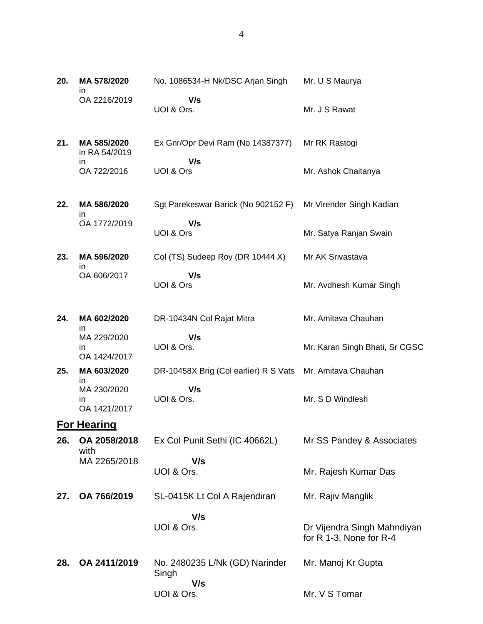| 20. | MA 578/2020                             | No. 1086534-H Nk/DSC Arjan Singh                          | Mr. U S Maurya                                         |
|-----|-----------------------------------------|-----------------------------------------------------------|--------------------------------------------------------|
|     | ın<br>OA 2216/2019                      | V/s<br>UOI & Ors.                                         | Mr. J S Rawat                                          |
| 21. | MA 585/2020<br>in RA 54/2019            | Ex Gnr/Opr Devi Ram (No 14387377)                         | Mr RK Rastogi                                          |
|     | in<br>OA 722/2016                       | V/s<br>UOI & Ors                                          | Mr. Ashok Chaitanya                                    |
| 22. | MA 586/2020<br>ın                       | Sgt Parekeswar Barick (No 902152 F)                       | Mr Virender Singh Kadian                               |
|     | OA 1772/2019                            | V/s<br>UOI & Ors                                          | Mr. Satya Ranjan Swain                                 |
| 23. | MA 596/2020<br>in                       | Col (TS) Sudeep Roy (DR 10444 X)                          | Mr AK Srivastava                                       |
|     | OA 606/2017                             | V/s<br>UOI & Ors                                          | Mr. Avdhesh Kumar Singh                                |
| 24. | MA 602/2020<br>in.                      | DR-10434N Col Rajat Mitra                                 | Mr. Amitava Chauhan                                    |
|     | MA 229/2020<br>in<br>OA 1424/2017       | V/s<br>UOI & Ors.                                         | Mr. Karan Singh Bhati, Sr CGSC                         |
| 25. | MA 603/2020                             | DR-10458X Brig (Col earlier) R S Vats Mr. Amitava Chauhan |                                                        |
|     | in<br>MA 230/2020<br>in<br>OA 1421/2017 | V/s<br>UOI & Ors.                                         | Mr. S D Windlesh                                       |
|     | <b>For Hearing</b>                      |                                                           |                                                        |
| 26. | OA 2058/2018<br>with                    | Ex Col Punit Sethi (IC 40662L)                            | Mr SS Pandey & Associates                              |
|     | MA 2265/2018                            | V/s<br>UOI & Ors.                                         | Mr. Rajesh Kumar Das                                   |
| 27. | OA 766/2019                             | SL-0415K Lt Col A Rajendiran                              | Mr. Rajiv Manglik                                      |
|     |                                         | V/s<br>UOI & Ors.                                         | Dr Vijendra Singh Mahndiyan<br>for R 1-3, None for R-4 |
| 28. | OA 2411/2019                            | No. 2480235 L/Nk (GD) Narinder<br>Singh<br>V/s            | Mr. Manoj Kr Gupta                                     |
|     |                                         | UOI & Ors.                                                | Mr. V S Tomar                                          |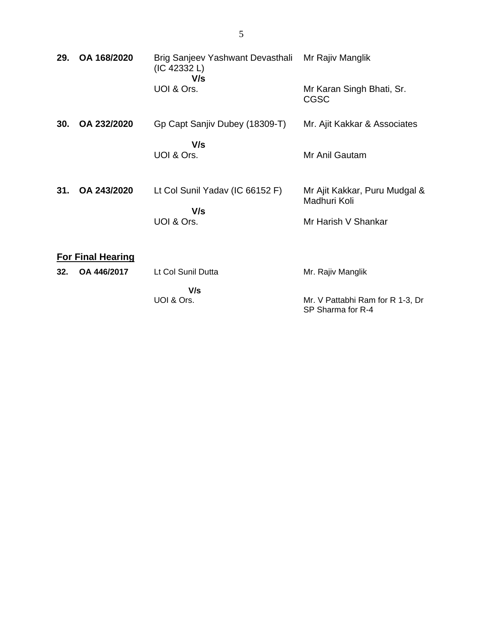| 29. | OA 168/2020              | Brig Sanjeev Yashwant Devasthali<br>(IC 42332 L)<br>V/s | Mr Rajiv Manglik                                      |
|-----|--------------------------|---------------------------------------------------------|-------------------------------------------------------|
|     |                          | UOI & Ors.                                              | Mr Karan Singh Bhati, Sr.<br><b>CGSC</b>              |
| 30. | OA 232/2020              | Gp Capt Sanjiv Dubey (18309-T)                          | Mr. Ajit Kakkar & Associates                          |
|     |                          | V/s<br>UOI & Ors.                                       | Mr Anil Gautam                                        |
| 31. | OA 243/2020              | Lt Col Sunil Yadav (IC 66152 F)                         | Mr Ajit Kakkar, Puru Mudgal &<br>Madhuri Koli         |
|     |                          | V/s<br>UOI & Ors.                                       | Mr Harish V Shankar                                   |
|     | <b>For Final Hearing</b> |                                                         |                                                       |
| 32. | OA 446/2017              | Lt Col Sunil Dutta                                      | Mr. Rajiv Manglik                                     |
|     |                          | V/s<br>UOI & Ors.                                       | Mr. V Pattabhi Ram for R 1-3, Dr<br>SP Sharma for R-4 |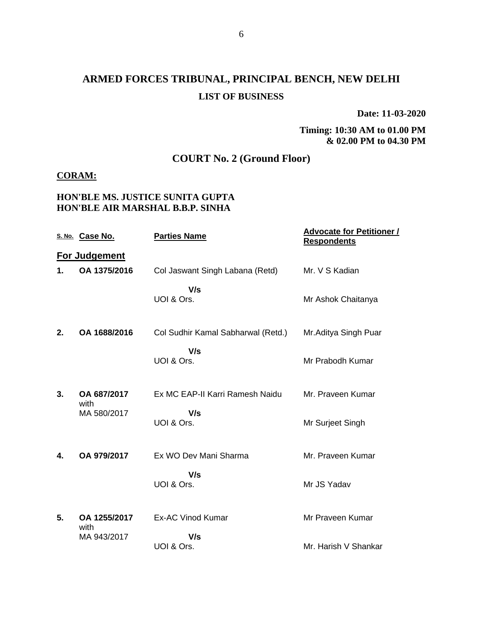## **ARMED FORCES TRIBUNAL, PRINCIPAL BENCH, NEW DELHI LIST OF BUSINESS**

**Date: 11-03-2020**

#### **Timing: 10:30 AM to 01.00 PM & 02.00 PM to 04.30 PM**

### **COURT No. 2 (Ground Floor)**

#### **CORAM:**

#### **HON'BLE MS. JUSTICE SUNITA GUPTA HON'BLE AIR MARSHAL B.B.P. SINHA**

|    | S. No. Case No.      | <b>Parties Name</b>                | <b>Advocate for Petitioner /</b><br><b>Respondents</b> |
|----|----------------------|------------------------------------|--------------------------------------------------------|
|    | For Judgement        |                                    |                                                        |
| 1. | OA 1375/2016         | Col Jaswant Singh Labana (Retd)    | Mr. V S Kadian                                         |
|    |                      | V/s<br>UOI & Ors.                  | Mr Ashok Chaitanya                                     |
| 2. | OA 1688/2016         | Col Sudhir Kamal Sabharwal (Retd.) | Mr. Aditya Singh Puar                                  |
|    |                      | V/s<br>UOI & Ors.                  | Mr Prabodh Kumar                                       |
| 3. | OA 687/2017<br>with  | Ex MC EAP-II Karri Ramesh Naidu    | Mr. Praveen Kumar                                      |
|    | MA 580/2017          | V/s<br>UOI & Ors.                  | Mr Surjeet Singh                                       |
| 4. | OA 979/2017          | Ex WO Dev Mani Sharma              | Mr. Praveen Kumar                                      |
|    |                      | V/s<br>UOI & Ors.                  | Mr JS Yadav                                            |
| 5. | OA 1255/2017<br>with | <b>Ex-AC Vinod Kumar</b>           | Mr Praveen Kumar                                       |
|    | MA 943/2017          | V/s<br>UOI & Ors.                  | Mr. Harish V Shankar                                   |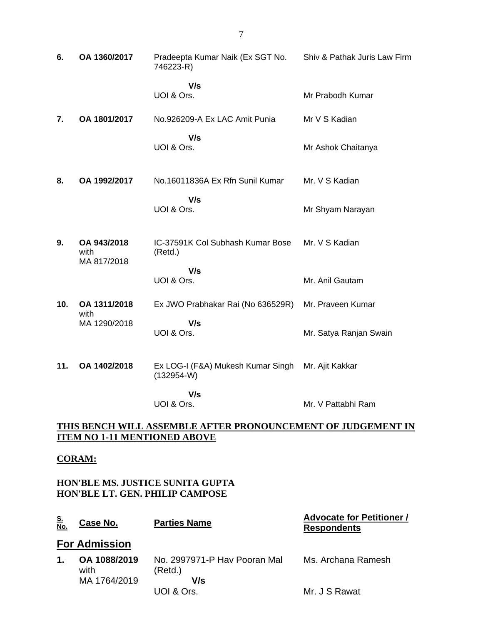| 6.                                                           | OA 1360/2017                       | Pradeepta Kumar Naik (Ex SGT No.<br>746223-R)     | Shiv & Pathak Juris Law Firm |
|--------------------------------------------------------------|------------------------------------|---------------------------------------------------|------------------------------|
|                                                              |                                    | V/s<br>UOI & Ors.                                 | Mr Prabodh Kumar             |
| 7.                                                           | OA 1801/2017                       | No.926209-A Ex LAC Amit Punia                     | Mr V S Kadian                |
|                                                              |                                    | V/s<br>UOI & Ors.                                 | Mr Ashok Chaitanya           |
| 8.                                                           | OA 1992/2017                       | No.16011836A Ex Rfn Sunil Kumar                   | Mr. V S Kadian               |
|                                                              |                                    | V/s<br>UOI & Ors.                                 | Mr Shyam Narayan             |
| 9.                                                           | OA 943/2018<br>with<br>MA 817/2018 | IC-37591K Col Subhash Kumar Bose<br>(Retd.)       | Mr. V S Kadian               |
|                                                              |                                    | V/s<br>UOI & Ors.                                 | Mr. Anil Gautam              |
| 10.                                                          | OA 1311/2018                       | Ex JWO Prabhakar Rai (No 636529R)                 | Mr. Praveen Kumar            |
|                                                              | with<br>MA 1290/2018               | V/s<br>UOI & Ors.                                 | Mr. Satya Ranjan Swain       |
| 11.                                                          | OA 1402/2018                       | Ex LOG-I (F&A) Mukesh Kumar Singh<br>$(132954-W)$ | Mr. Ajit Kakkar              |
|                                                              |                                    | V/s<br>UOI & Ors.                                 | Mr. V Pattabhi Ram           |
| THIS BENCH WILL ASSEMBLE AFTER PRONOUNCEMENT OF JUDGEMENT IN |                                    |                                                   |                              |

# **ITEM NO 1-11 MENTIONED ABOVE**

#### **CORAM:**

#### **HON'BLE MS. JUSTICE SUNITA GUPTA HON'BLE LT. GEN. PHILIP CAMPOSE**

UOI & Ors.

| <u>S.</u><br>No. | Case No.             | <b>Parties Name</b>                     | <b>Advocate for Petitioner /</b><br><b>Respondents</b> |
|------------------|----------------------|-----------------------------------------|--------------------------------------------------------|
|                  | <b>For Admission</b> |                                         |                                                        |
| $\mathbf 1$ .    | OA 1088/2019<br>with | No. 2997971-P Hay Pooran Mal<br>(Retd.) | Ms. Archana Ramesh                                     |
|                  | MA 1764/2019         | V/s                                     |                                                        |
|                  |                      | UOI & Ors.                              | Mr. J S Rawat                                          |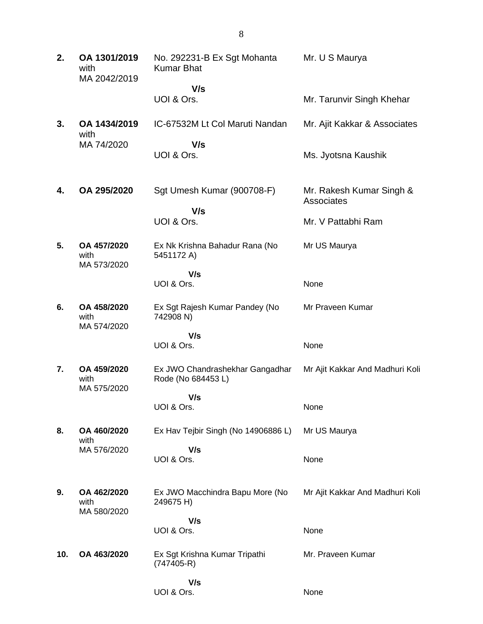| 2.  | OA 1301/2019<br>with<br>MA 2042/2019 | No. 292231-B Ex Sgt Mohanta<br><b>Kumar Bhat</b>     | Mr. U S Maurya                         |
|-----|--------------------------------------|------------------------------------------------------|----------------------------------------|
|     |                                      | V/s                                                  |                                        |
|     |                                      | UOI & Ors.                                           | Mr. Tarunvir Singh Khehar              |
| 3.  | OA 1434/2019<br>with                 | IC-67532M Lt Col Maruti Nandan                       | Mr. Ajit Kakkar & Associates           |
|     | MA 74/2020                           | V/s<br>UOI & Ors.                                    | Ms. Jyotsna Kaushik                    |
| 4.  | OA 295/2020                          | Sgt Umesh Kumar (900708-F)<br>V/s                    | Mr. Rakesh Kumar Singh &<br>Associates |
|     |                                      | UOI & Ors.                                           | Mr. V Pattabhi Ram                     |
| 5.  | OA 457/2020<br>with<br>MA 573/2020   | Ex Nk Krishna Bahadur Rana (No<br>5451172 A)         | Mr US Maurya                           |
|     |                                      | V/s                                                  |                                        |
|     |                                      | UOI & Ors.                                           | None                                   |
| 6.  | OA 458/2020<br>with<br>MA 574/2020   | Ex Sgt Rajesh Kumar Pandey (No<br>742908 N)          | Mr Praveen Kumar                       |
|     |                                      | V/s                                                  |                                        |
|     |                                      | UOI & Ors.                                           | None                                   |
| 7.  | OA 459/2020<br>with<br>MA 575/2020   | Ex JWO Chandrashekhar Gangadhar<br>Rode (No 684453L) | Mr Ajit Kakkar And Madhuri Koli        |
|     |                                      | V/s                                                  |                                        |
|     |                                      | UOI & Ors.                                           | None                                   |
| 8.  | OA 460/2020<br>with                  | Ex Hav Tejbir Singh (No 14906886 L)                  | Mr US Maurya                           |
|     | MA 576/2020                          | V/s                                                  |                                        |
|     |                                      | UOI & Ors.                                           | None                                   |
| 9.  | OA 462/2020<br>with<br>MA 580/2020   | Ex JWO Macchindra Bapu More (No<br>249675 H)         | Mr Ajit Kakkar And Madhuri Koli        |
|     |                                      | V/s                                                  |                                        |
|     |                                      | UOI & Ors.                                           | None                                   |
| 10. | OA 463/2020                          | Ex Sgt Krishna Kumar Tripathi<br>$(747405-R)$        | Mr. Praveen Kumar                      |
|     |                                      | V/s                                                  |                                        |
|     |                                      | UOI & Ors.                                           | None                                   |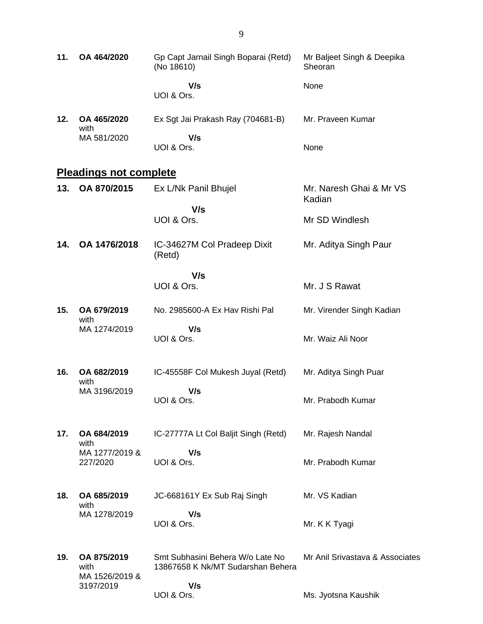| 11. | OA 464/2020                           | Gp Capt Jarnail Singh Boparai (Retd)<br>(No 18610)                    | Mr Baljeet Singh & Deepika<br>Sheoran |
|-----|---------------------------------------|-----------------------------------------------------------------------|---------------------------------------|
|     |                                       | V/s<br>UOI & Ors.                                                     | None                                  |
| 12. | OA 465/2020<br>with                   | Ex Sgt Jai Prakash Ray (704681-B)                                     | Mr. Praveen Kumar                     |
|     | MA 581/2020                           | V/s<br>UOI & Ors.                                                     | None                                  |
|     | <b>Pleadings not complete</b>         |                                                                       |                                       |
| 13. | OA 870/2015                           | Ex L/Nk Panil Bhujel                                                  | Mr. Naresh Ghai & Mr VS<br>Kadian     |
|     |                                       | V/s<br>UOI & Ors.                                                     | Mr SD Windlesh                        |
| 14. | OA 1476/2018                          | IC-34627M Col Pradeep Dixit<br>(Retd)                                 | Mr. Aditya Singh Paur                 |
|     |                                       | V/s                                                                   |                                       |
|     |                                       | UOI & Ors.                                                            | Mr. J S Rawat                         |
| 15. | OA 679/2019<br>with                   | No. 2985600-A Ex Hav Rishi Pal                                        | Mr. Virender Singh Kadian             |
|     | MA 1274/2019                          | V/s<br>UOI & Ors.                                                     | Mr. Waiz Ali Noor                     |
| 16. | OA 682/2019<br>with                   | IC-45558F Col Mukesh Juyal (Retd)                                     | Mr. Aditya Singh Puar                 |
|     | MA 3196/2019                          | V/s<br>UOI & Ors.                                                     | Mr. Prabodh Kumar                     |
| 17. | OA 684/2019<br>with                   | IC-27777A Lt Col Baljit Singh (Retd)                                  | Mr. Rajesh Nandal                     |
|     | MA 1277/2019 &<br>227/2020            | V/s<br>UOI & Ors.                                                     | Mr. Prabodh Kumar                     |
| 18. | OA 685/2019<br>with                   | JC-668161Y Ex Sub Raj Singh                                           | Mr. VS Kadian                         |
|     | MA 1278/2019                          | V/s<br>UOI & Ors.                                                     | Mr. K K Tyagi                         |
| 19. | OA 875/2019<br>with<br>MA 1526/2019 & | Smt Subhasini Behera W/o Late No<br>13867658 K Nk/MT Sudarshan Behera | Mr Anil Srivastava & Associates       |
|     | 3197/2019                             | V/s<br>UOI & Ors.                                                     | Ms. Jyotsna Kaushik                   |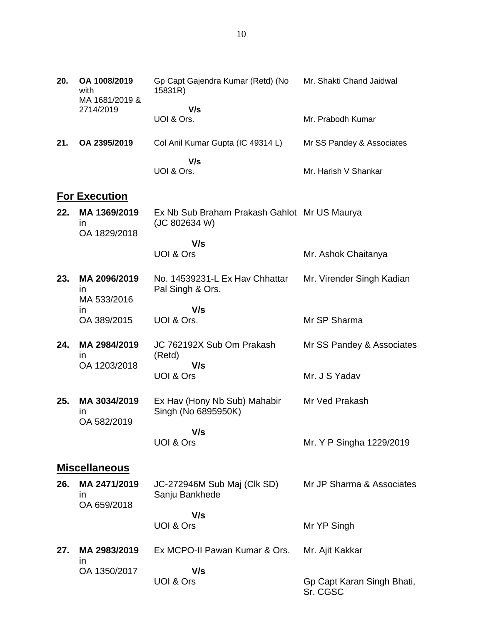| 20. | OA 1008/2019<br>with<br>MA 1681/2019 &       | Gp Capt Gajendra Kumar (Retd) (No<br>15831R)                  | Mr. Shakti Chand Jaidwal  |
|-----|----------------------------------------------|---------------------------------------------------------------|---------------------------|
|     | 2714/2019                                    | V/s                                                           |                           |
|     |                                              | UOI & Ors.                                                    | Mr. Prabodh Kumar         |
| 21. | OA 2395/2019                                 | Col Anil Kumar Gupta (IC 49314 L)                             | Mr SS Pandey & Associates |
|     |                                              | V/s<br>UOI & Ors.                                             | Mr. Harish V Shankar      |
|     | <b>For Execution</b>                         |                                                               |                           |
| 22. | MA 1369/2019<br>$\mathsf{I}$<br>OA 1829/2018 | Ex Nb Sub Braham Prakash Gahlot Mr US Maurya<br>(JC 802634 W) |                           |
|     |                                              | V/s                                                           |                           |
|     |                                              | UOI & Ors                                                     | Mr. Ashok Chaitanya       |
| 23. | MA 2096/2019<br>$\mathsf{I}$<br>MA 533/2016  | No. 14539231-L Ex Hav Chhattar<br>Pal Singh & Ors.            | Mr. Virender Singh Kadian |
|     | <i>in</i>                                    | V/s                                                           |                           |
|     | OA 389/2015                                  | UOI & Ors.                                                    | Mr SP Sharma              |
| 24. | MA 2984/2019<br>$\mathsf{I}$                 | JC 762192X Sub Om Prakash<br>(Retd)                           | Mr SS Pandey & Associates |
|     | OA 1203/2018                                 | V/s<br>UOI & Ors                                              | Mr. J S Yadav             |
| 25. | MA 3034/2019<br><i>in</i><br>OA 582/2019     | Ex Hav (Hony Nb Sub) Mahabir<br>Singh (No 6895950K)           | Mr Ved Prakash            |
|     |                                              | V/s<br>UOI & Ors                                              | Mr. Y P Singha 1229/2019  |
|     | <b>Miscellaneous</b>                         |                                                               |                           |
| 26. | MA 2471/2019<br>$\mathsf{I}$<br>OA 659/2018  | JC-272946M Sub Maj (Clk SD)<br>Sanju Bankhede                 | Mr JP Sharma & Associates |
|     |                                              | V/s                                                           |                           |
|     |                                              | UOI & Ors                                                     | Mr YP Singh               |
| 27. | MA 2983/2019<br>ın                           | Ex MCPO-II Pawan Kumar & Ors.                                 | Mr. Ajit Kakkar           |
|     | OA 1350/2017                                 | V/s                                                           |                           |

Gp Capt Karan Singh Bhati,

Sr. CGSC

UOI & Ors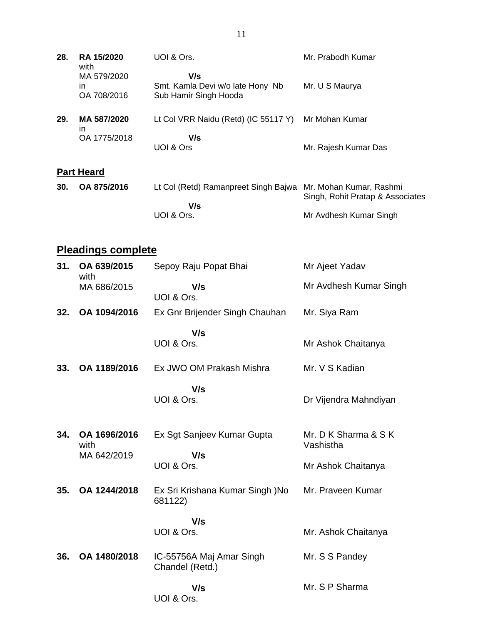| 28. | <b>RA 15/2020</b><br>with        | UOI & Ors.                                                       | Mr. Prabodh Kumar    |
|-----|----------------------------------|------------------------------------------------------------------|----------------------|
|     | MA 579/2020<br>ın<br>OA 708/2016 | V/s<br>Smt. Kamla Devi w/o late Hony Nb<br>Sub Hamir Singh Hooda | Mr. U S Maurya       |
| 29. | MA 587/2020<br>ın                | Lt Col VRR Naidu (Retd) (IC 55117 Y)                             | Mr Mohan Kumar       |
|     | OA 1775/2018                     | V/s<br>UOI & Ors                                                 | Mr. Rajesh Kumar Das |
|     | <b>Part Heard</b>                |                                                                  |                      |
| ົ   | CA 07510040                      | Lt Cal (Date), Damannach Cinele Daius - Mu Mahan Kuman, Daabesi  |                      |

| 30.      OA 875/2016 | Lt Col (Retd) Ramanpreet Singh Bajwa Mr. Mohan Kumar, Rashmi |                                  |
|----------------------|--------------------------------------------------------------|----------------------------------|
|                      |                                                              | Singh, Rohit Pratap & Associates |
|                      | V/s                                                          |                                  |
|                      | UOI & Ors.                                                   | Mr Avdhesh Kumar Singh           |
|                      |                                                              |                                  |

## **Pleadings complete**

| 31. | OA 639/2015<br>with                 | Sepoy Raju Popat Bhai                       | Mr Ajeet Yadav                    |
|-----|-------------------------------------|---------------------------------------------|-----------------------------------|
|     | MA 686/2015                         | V/s<br>UOI & Ors.                           | Mr Avdhesh Kumar Singh            |
| 32. | OA 1094/2016                        | Ex Gnr Brijender Singh Chauhan              | Mr. Siya Ram                      |
|     |                                     | V/s<br>UOI & Ors.                           | Mr Ashok Chaitanya                |
| 33. | OA 1189/2016                        | Ex JWO OM Prakash Mishra                    | Mr. V S Kadian                    |
|     |                                     | V/s<br>UOI & Ors.                           | Dr Vijendra Mahndiyan             |
| 34. | OA 1696/2016<br>with<br>MA 642/2019 | Ex Sgt Sanjeev Kumar Gupta<br>V/s           | Mr. D K Sharma & S K<br>Vashistha |
|     |                                     | UOI & Ors.                                  | Mr Ashok Chaitanya                |
| 35. | OA 1244/2018                        | Ex Sri Krishana Kumar Singh )No<br>681122)  | Mr. Praveen Kumar                 |
|     |                                     | V/s<br>UOI & Ors.                           | Mr. Ashok Chaitanya               |
| 36. | OA 1480/2018                        | IC-55756A Maj Amar Singh<br>Chandel (Retd.) | Mr. S S Pandey                    |
|     |                                     | V/s<br>UOI & Ors.                           | Mr. S P Sharma                    |